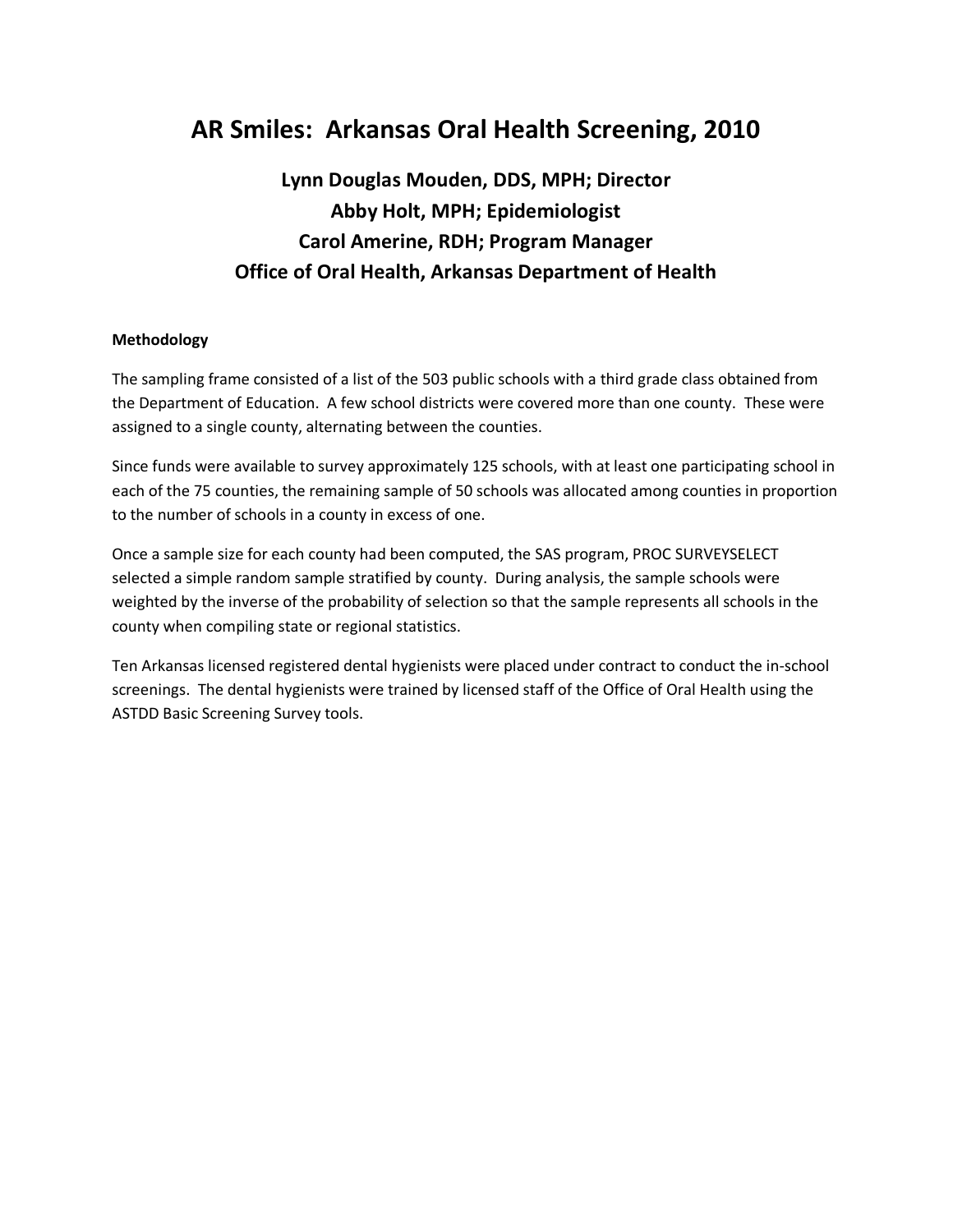# **AR Smiles: Arkansas Oral Health Screening, 2010**

# **Lynn Douglas Mouden, DDS, MPH; Director Abby Holt, MPH; Epidemiologist Carol Amerine, RDH; Program Manager Office of Oral Health, Arkansas Department of Health**

#### **Methodology**

The sampling frame consisted of a list of the 503 public schools with a third grade class obtained from the Department of Education. A few school districts were covered more than one county. These were assigned to a single county, alternating between the counties.

Since funds were available to survey approximately 125 schools, with at least one participating school in each of the 75 counties, the remaining sample of 50 schools was allocated among counties in proportion to the number of schools in a county in excess of one.

Once a sample size for each county had been computed, the SAS program, PROC SURVEYSELECT selected a simple random sample stratified by county. During analysis, the sample schools were weighted by the inverse of the probability of selection so that the sample represents all schools in the county when compiling state or regional statistics.

Ten Arkansas licensed registered dental hygienists were placed under contract to conduct the in-school screenings. The dental hygienists were trained by licensed staff of the Office of Oral Health using the ASTDD Basic Screening Survey tools.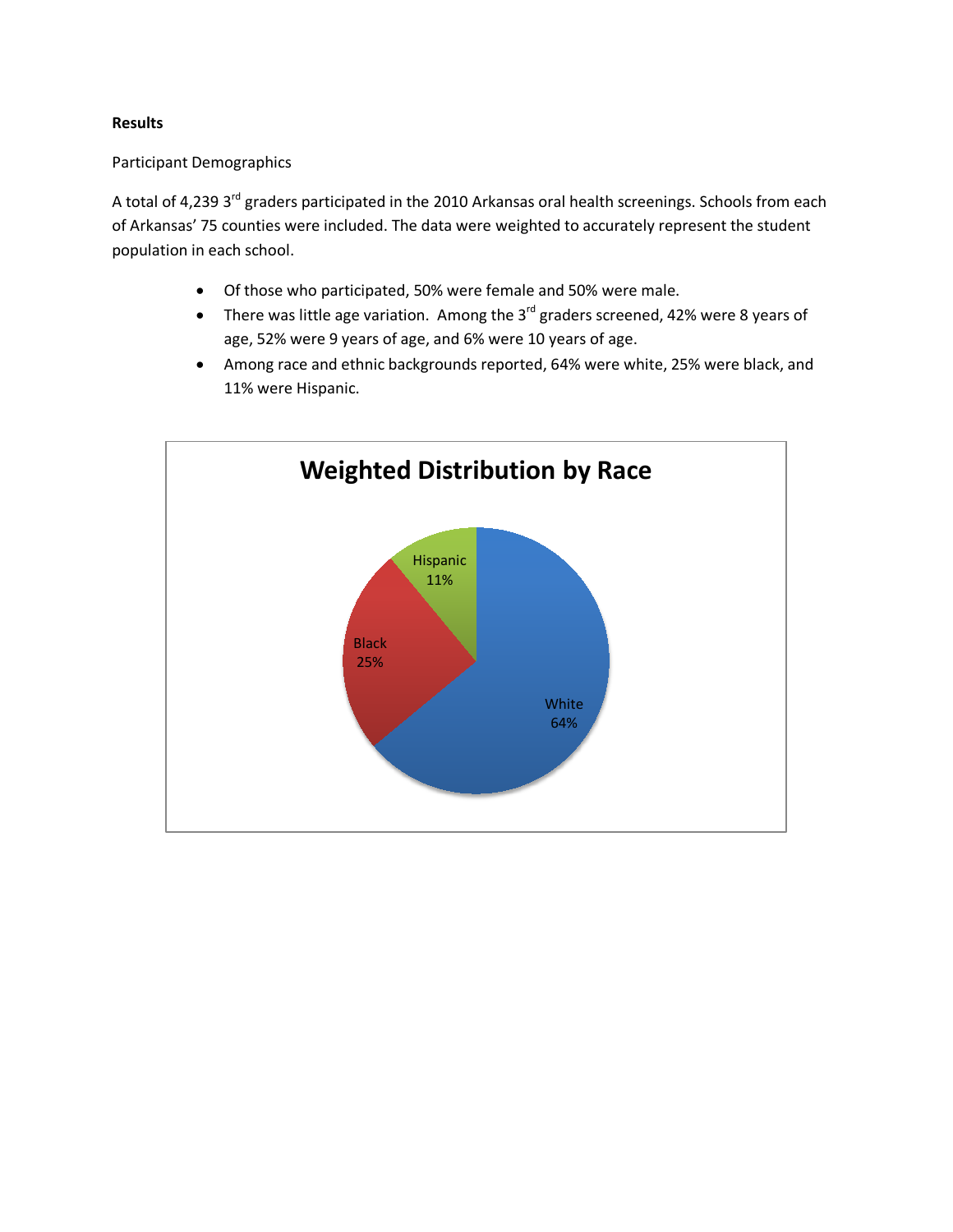## **Results**

## Participant Demographics

A total of 4,239 3<sup>rd</sup> graders participated in the 2010 Arkansas oral health screenings. Schools from each of Arkansas' 75 counties were included. The data were weighted to accurately represent the student population in each school.

- Of those who participated, 50% were female and 50% were male.
- There was little age variation. Among the  $3^{rd}$  graders screened, 42% were 8 years of age, 52% were 9 years of age, and 6% were 10 years of age.
- Among race and ethnic backgrounds reported, 64% were white, 25% were black, and 11% were Hispanic.

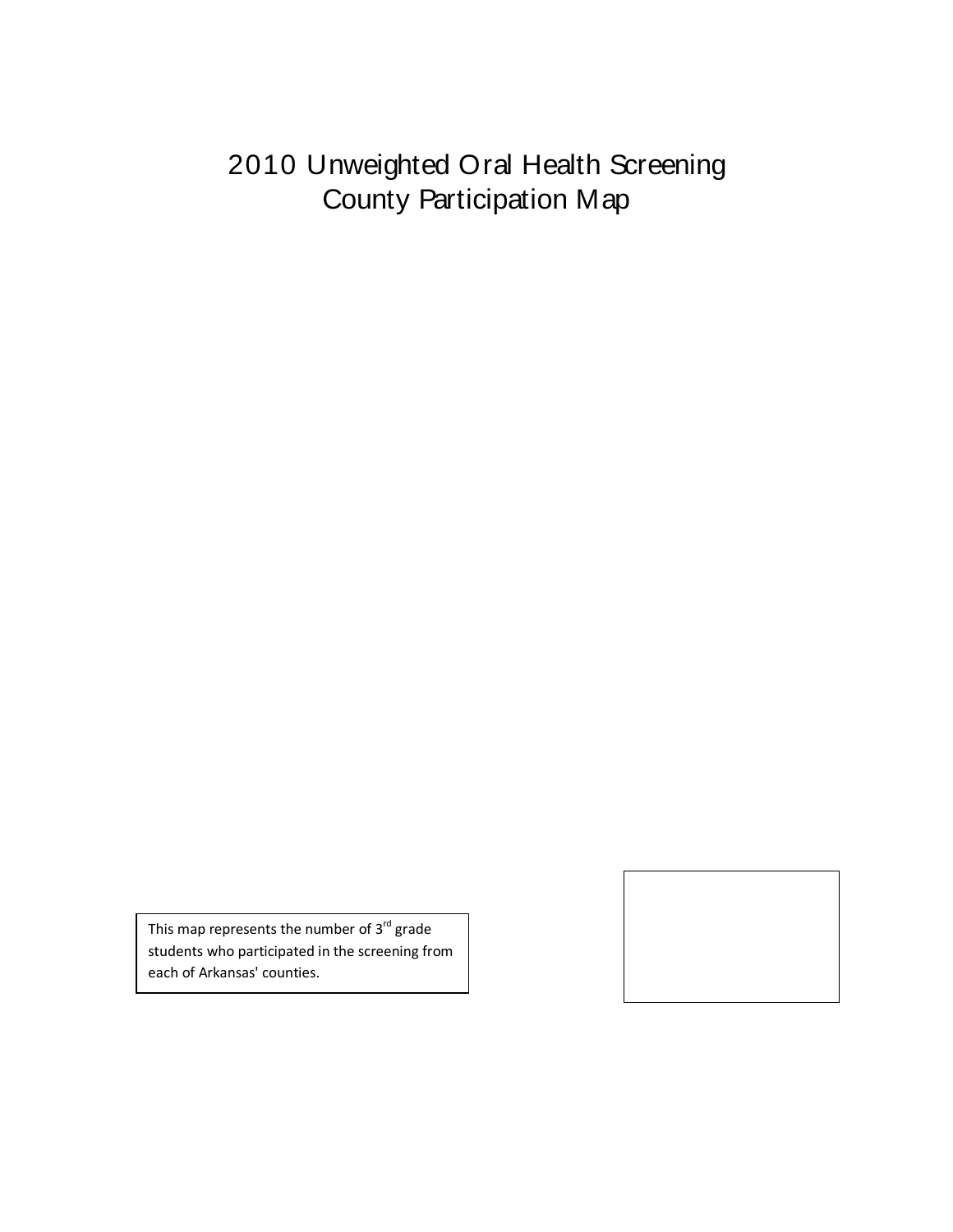# 2010 Unweighted Oral Health Screening County Participation Map

This map represents the number of  $3^{rd}$  grade students who participated in the screening from each of Arkansas' counties.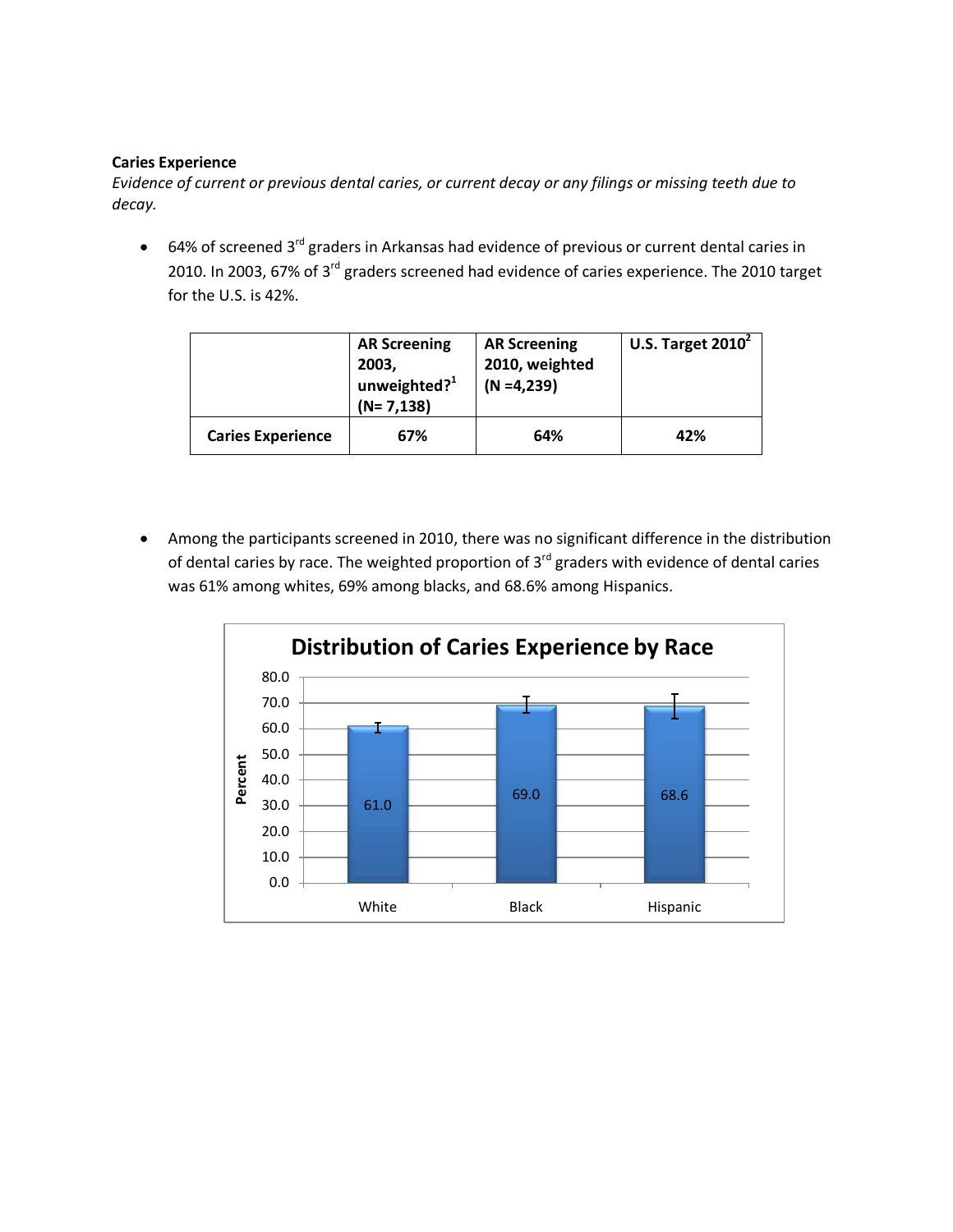#### **Caries Experience**

*Evidence of current or previous dental caries, or current decay or any filings or missing teeth due to decay.*

• 64% of screened 3<sup>rd</sup> graders in Arkansas had evidence of previous or current dental caries in 2010. In 2003, 67% of 3<sup>rd</sup> graders screened had evidence of caries experience. The 2010 target for the U.S. is 42%.

|                          | <b>AR Screening</b><br>2003,<br>unweighted? <sup>1</sup><br>$(N=7,138)$ | <b>AR Screening</b><br>2010, weighted<br>$(N = 4, 239)$ | U.S. Target $2010^2$ |
|--------------------------|-------------------------------------------------------------------------|---------------------------------------------------------|----------------------|
| <b>Caries Experience</b> | 67%                                                                     | 64%                                                     | 42%                  |

• Among the participants screened in 2010, there was no significant difference in the distribution of dental caries by race. The weighted proportion of  $3<sup>rd</sup>$  graders with evidence of dental caries was 61% among whites, 69% among blacks, and 68.6% among Hispanics.

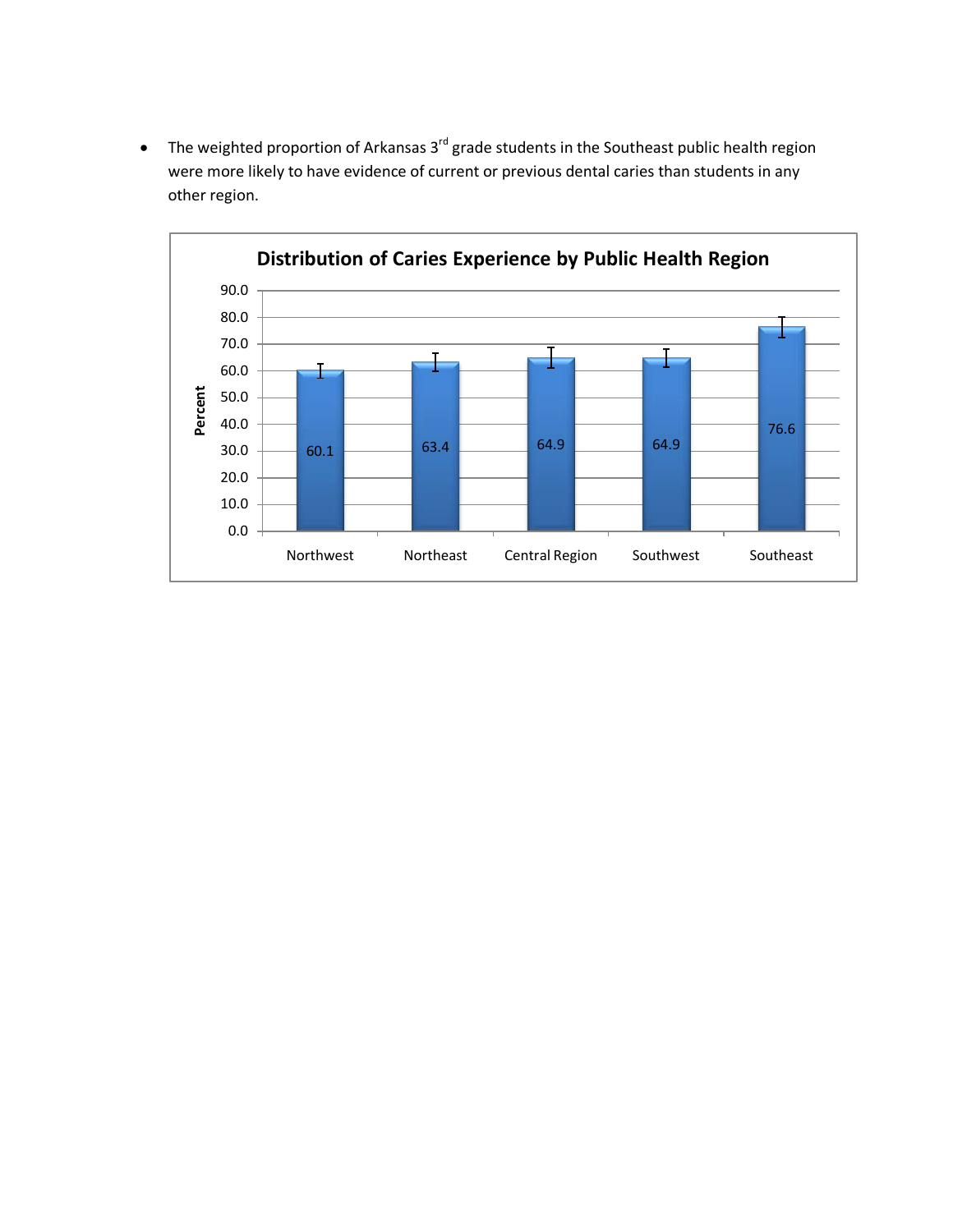• The weighted proportion of Arkansas  $3^{rd}$  grade students in the Southeast public health region were more likely to have evidence of current or previous dental caries than students in any other region.

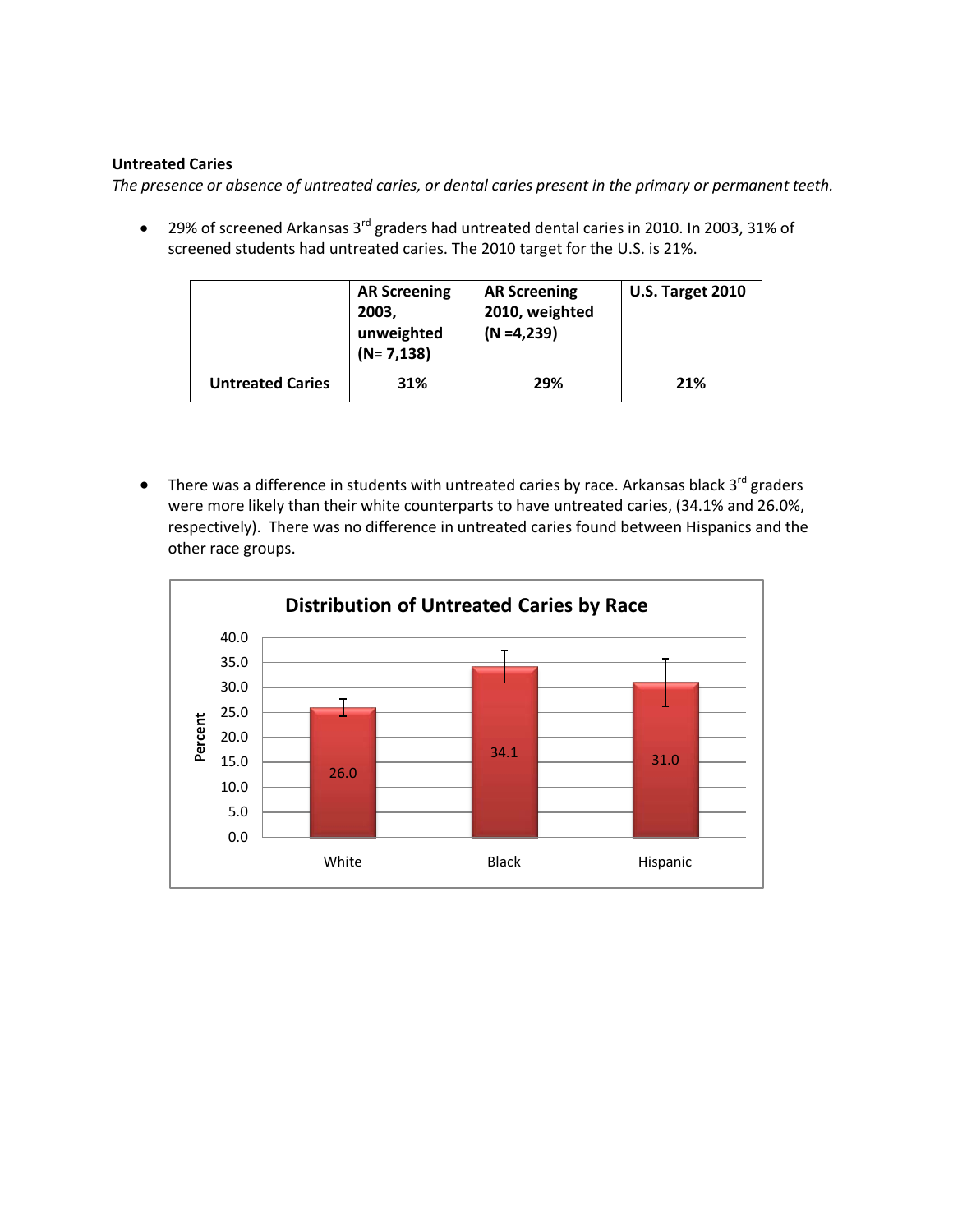#### **Untreated Caries**

*The presence or absence of untreated caries, or dental caries present in the primary or permanent teeth.*

• 29% of screened Arkansas  $3^{rd}$  graders had untreated dental caries in 2010. In 2003, 31% of screened students had untreated caries. The 2010 target for the U.S. is 21%.

|                         | <b>AR Screening</b><br>2003,<br>unweighted<br>$(N=7,138)$ | <b>AR Screening</b><br>2010, weighted<br>$(N = 4, 239)$ | <b>U.S. Target 2010</b> |
|-------------------------|-----------------------------------------------------------|---------------------------------------------------------|-------------------------|
| <b>Untreated Caries</b> | 31%                                                       | 29%                                                     | 21%                     |

• There was a difference in students with untreated caries by race. Arkansas black  $3^{rd}$  graders were more likely than their white counterparts to have untreated caries, (34.1% and 26.0%, respectively). There was no difference in untreated caries found between Hispanics and the other race groups.

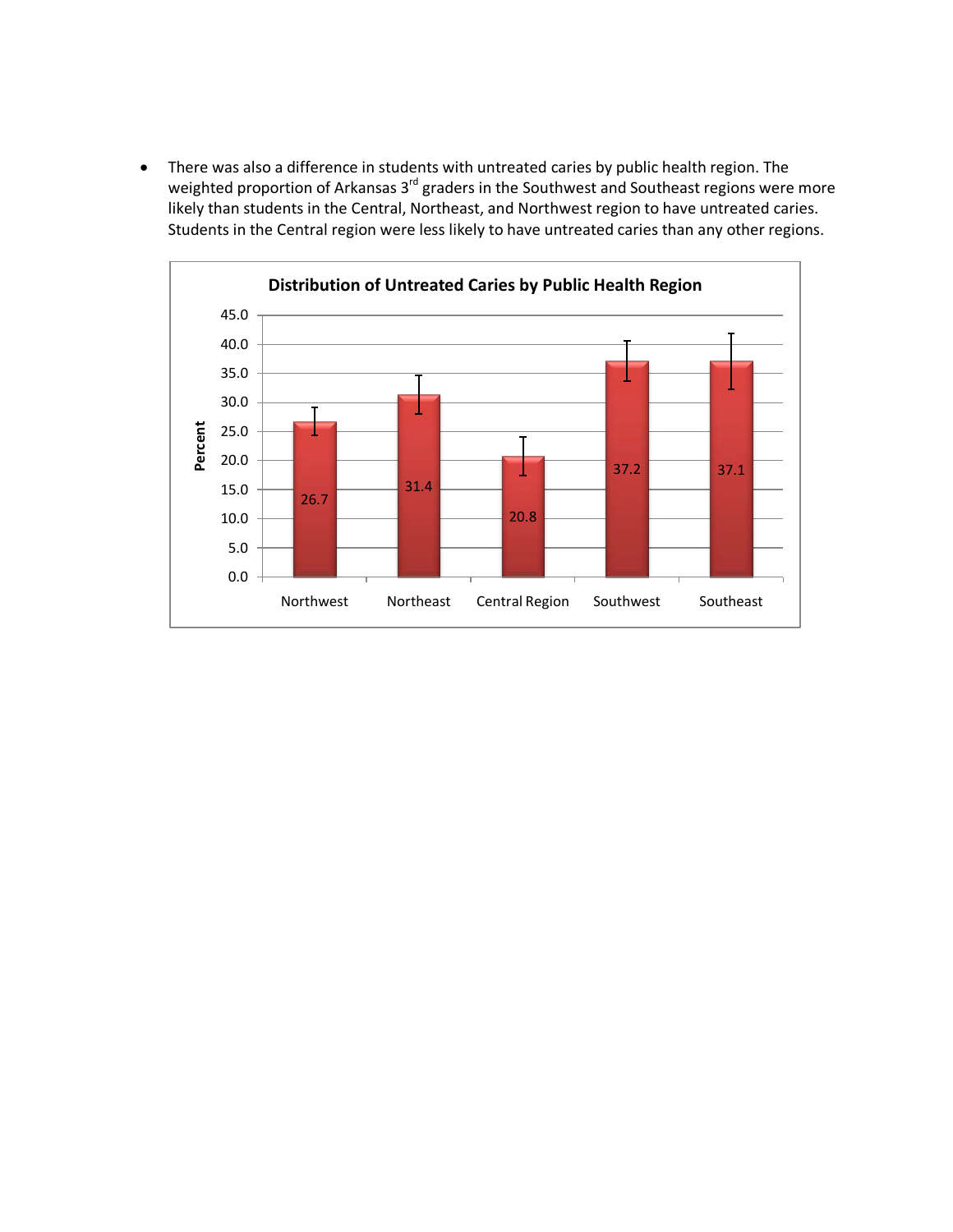• There was also a difference in students with untreated caries by public health region. The weighted proportion of Arkansas 3<sup>rd</sup> graders in the Southwest and Southeast regions were more likely than students in the Central, Northeast, and Northwest region to have untreated caries. Students in the Central region were less likely to have untreated caries than any other regions.

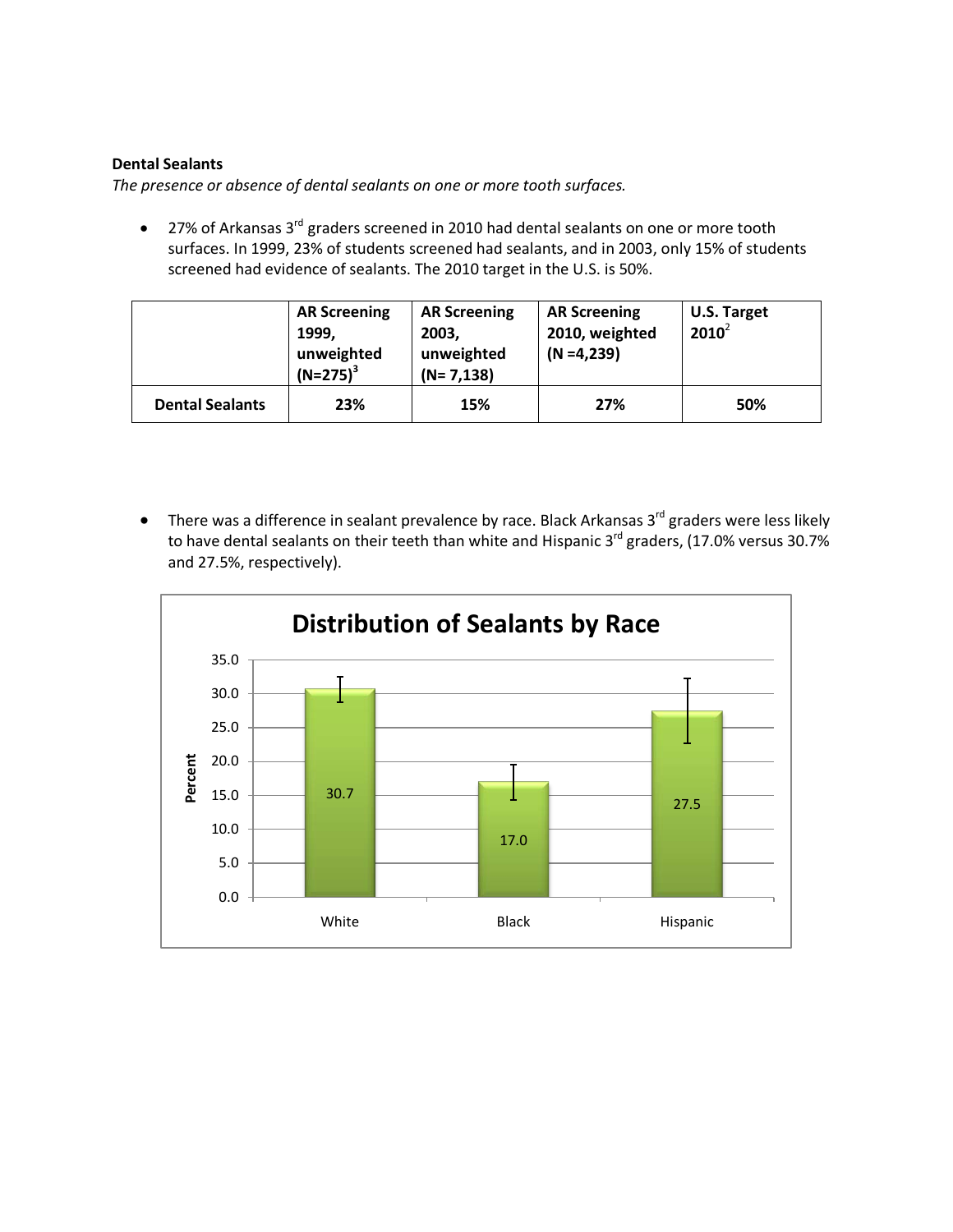#### **Dental Sealants**

*The presence or absence of dental sealants on one or more tooth surfaces.* 

• 27% of Arkansas 3<sup>rd</sup> graders screened in 2010 had dental sealants on one or more tooth surfaces. In 1999, 23% of students screened had sealants, and in 2003, only 15% of students screened had evidence of sealants. The 2010 target in the U.S. is 50%.

|                        | <b>AR Screening</b><br>1999.<br>unweighted<br>$(N=275)^3$ | <b>AR Screening</b><br>2003,<br>unweighted<br>$(N=7,138)$ | <b>AR Screening</b><br>2010, weighted<br>$(N = 4, 239)$ | <b>U.S. Target</b><br>$2010^2$ |
|------------------------|-----------------------------------------------------------|-----------------------------------------------------------|---------------------------------------------------------|--------------------------------|
| <b>Dental Sealants</b> | 23%                                                       | 15%                                                       | 27%                                                     | 50%                            |

• There was a difference in sealant prevalence by race. Black Arkansas  $3<sup>rd</sup>$  graders were less likely to have dental sealants on their teeth than white and Hispanic 3<sup>rd</sup> graders, (17.0% versus 30.7%) and 27.5%, respectively).

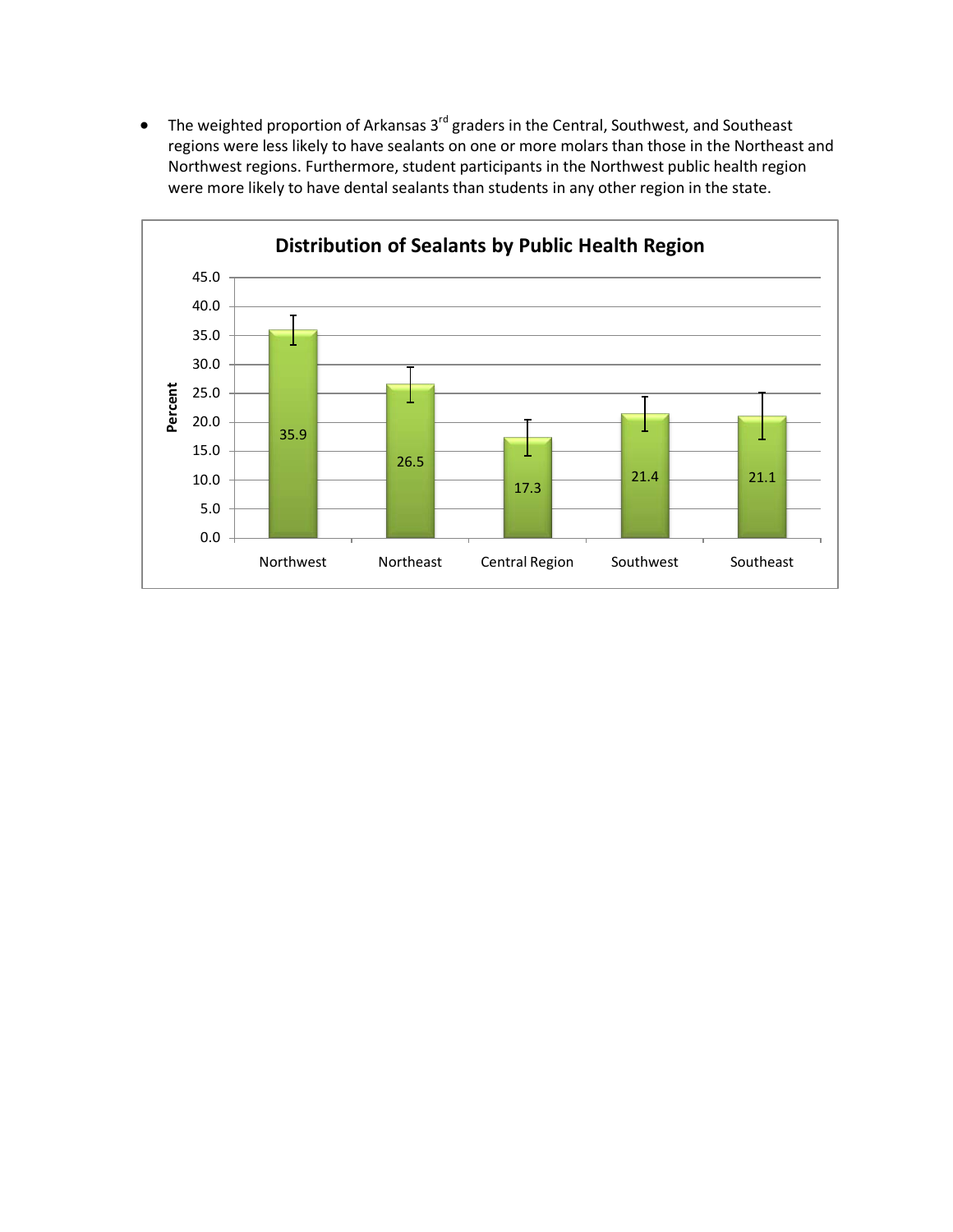• The weighted proportion of Arkansas 3<sup>rd</sup> graders in the Central, Southwest, and Southeast regions were less likely to have sealants on one or more molars than those in the Northeast and Northwest regions. Furthermore, student participants in the Northwest public health region were more likely to have dental sealants than students in any other region in the state.

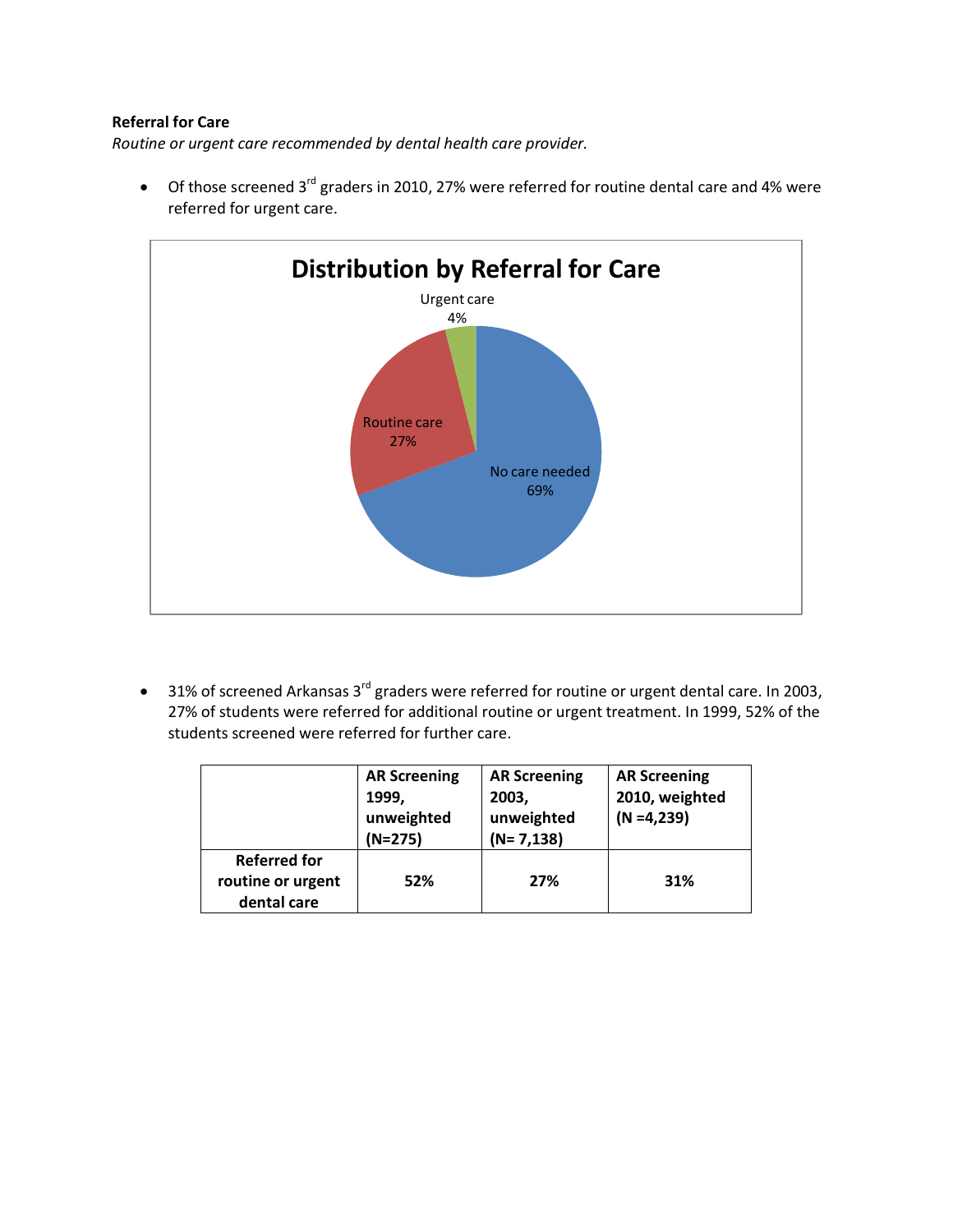#### **Referral for Care**

*Routine or urgent care recommended by dental health care provider.*

• Of those screened 3<sup>rd</sup> graders in 2010, 27% were referred for routine dental care and 4% were referred for urgent care.



• 31% of screened Arkansas 3rd graders were referred for routine or urgent dental care. In 2003, 27% of students were referred for additional routine or urgent treatment. In 1999, 52% of the students screened were referred for further care.

|                                                         | <b>AR Screening</b><br>1999,<br>unweighted<br>$(N=275)$ | <b>AR Screening</b><br>2003,<br>unweighted<br>$(N=7,138)$ | <b>AR Screening</b><br>2010, weighted<br>$(N = 4, 239)$ |
|---------------------------------------------------------|---------------------------------------------------------|-----------------------------------------------------------|---------------------------------------------------------|
| <b>Referred for</b><br>routine or urgent<br>dental care | 52%                                                     | 27%                                                       | 31%                                                     |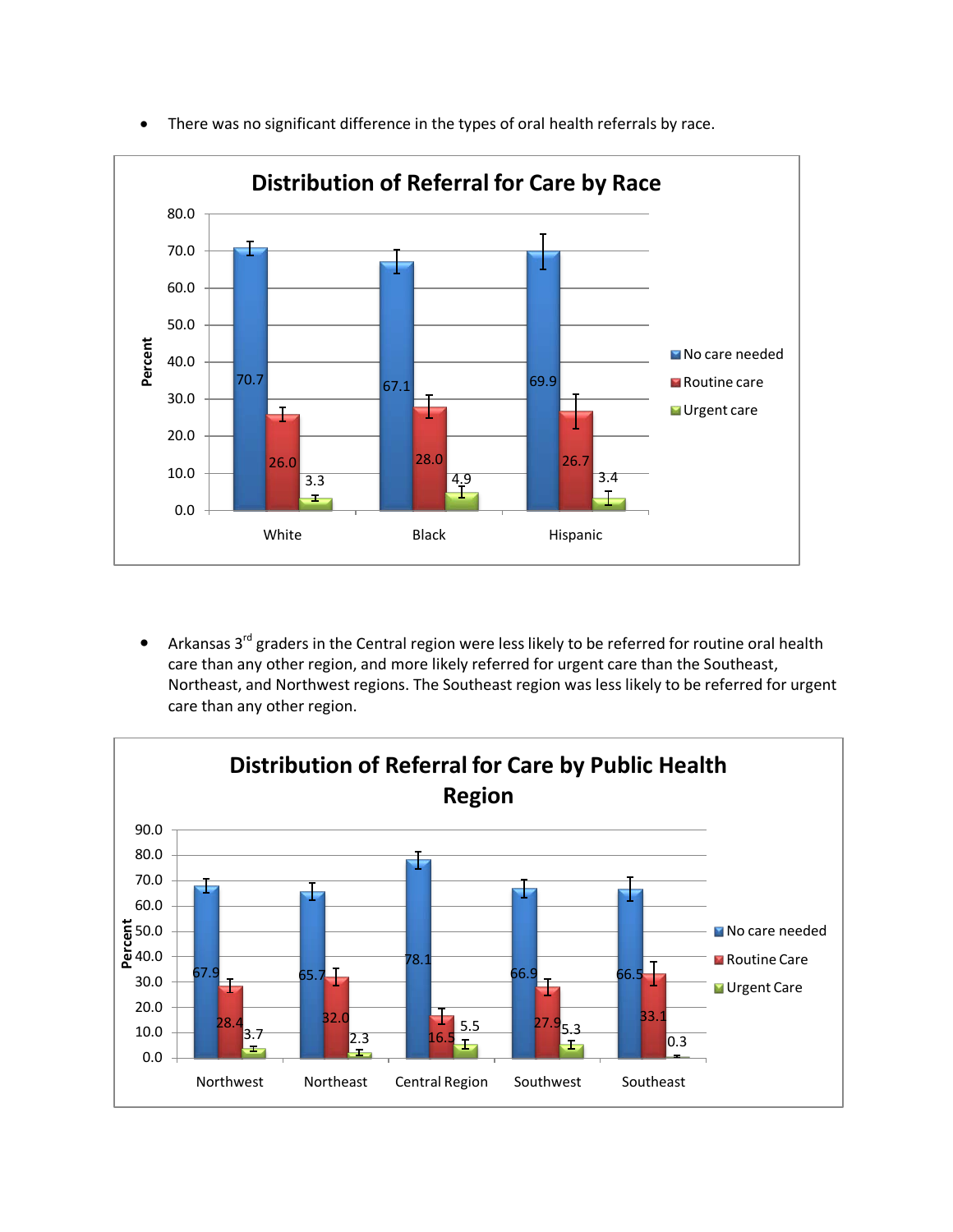

• There was no significant difference in the types of oral health referrals by race.

• Arkansas  $3^{rd}$  graders in the Central region were less likely to be referred for routine oral health care than any other region, and more likely referred for urgent care than the Southeast, Northeast, and Northwest regions. The Southeast region was less likely to be referred for urgent care than any other region.